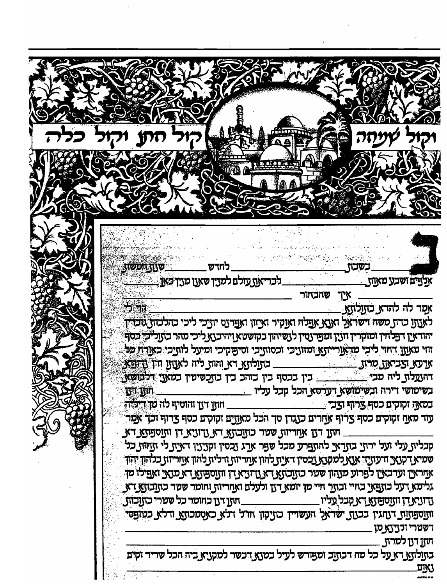水叶肉 有线纸螺 人名塞俄戈 **STORISTIC** ַ לחדש \_ \_לבר־אַת עזלם למצך שאנו מצד כאן אַלְדַם ושכע מאַתַ\_ שהבחור **TX**  $\frac{1}{2}$  and  $\frac{1}{2}$ אמר לה להדא בזצלוצע. לאנוצ כדון משה דשראל האנא אפלח ואנקיר ואיוון ואפרנס יוצכי ליכי כהלכות גובריך יהודאין דפלווין ומוקרין וזנין ומפרנסין לנשיהון בקושטא ויהיבנא ליכי מהר בותליכי כסף זוי מאון דחזי ליכי מהאורייתא ומזוציכי וכסווצכי וסיפוקיכי ומיעל לווצכי כאורוז כל ארעא וצביאת מרות<br>התעלות ליה מבי בשימושי דירה ובשימושע דערסא הכל קבל עליו **TAIT TAIL** \_ חוזן דון והוסיף לה מן דיליה.\_\_ במאה זקוקים כסף צרוף וצכי עזר מאָה זקוקים כסף צרוף אַחרים כנגדן סך הכל מאַזיַם זקוקים כסף צרוף זכך אַמַר . חזן דון אווריות שטר כזונקא דא ודוניא דן ותוספוא דא קבלית עלי זעל ירזצ בתראי להתפרע מכל שפר ארג נכסין זקנינין דאית לי תחזת כל שמיא קטאי ודעוצה אצא למקטא גכסין דאית להון אחריות ודלית להון אחריות כלהון יהון אַחראַין וערבאַין לפֿרוע סגוזון שטר כזווַבזואַ דאַ גידוניאַ דן ווזוַספּזוּאַ דאַ מגאַי ואַפּילוֹ מן גלימא דעל כתפאי בחיי ובתר חיי מן יומא דגן ולעלם ואחריות וחומר שטר כתובתא דא \_ חתן דגן כחומר כל שערי כתובות ותוספתות דתוגין בכנת ישראל העשויין כתיקון חזיל דלא כאסמכותא ודלא כמופסי ַ דשטרי ורציצעמן תתן דנן למרת בזצלזצג דא על כל מה דכזצב ומפורש לעיל במצג דכשר למקציא ביה הכל שריר זקים unj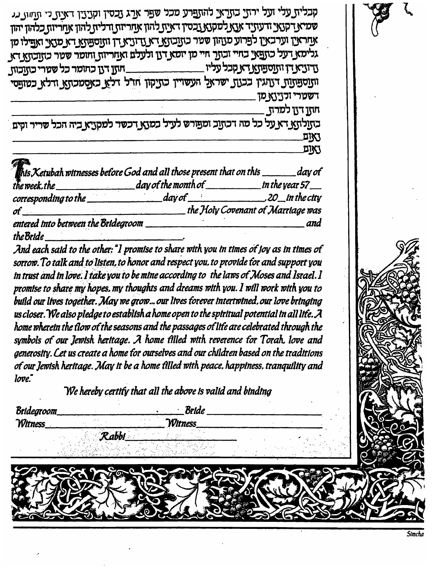קבלית עלי ועל ירתי בתראי להתפרע מכל שפר ארג נכסין וקניגין דאית כי תחות כנ שמיא דקנאי ודעוניד אנא למקנא נכסין דאית להון אחריות ודליח להון אחריות כלהון יהון אַמראַיַן וערבאיַן לפרוע מצהון שטר כזצבזצאַ דאַ צדוניאַ דן ווזנספוזאַ דאַ מצאַי ואַפילו מן גלימא דעל כתפאי בחיי ובתר חיי מן יומא דתי ולעלם ואחריות וחומר שטר כהובהא דא ותנספתות דנתגין בבעת ישראל העשויין כתיקון חזיל דלא כאסמכתא זדלא כמופסי דשטרי זכנינאַמן חחו דון למרח בהנלחא דא על כל מה דכתוב ומפורש לעיל במנא דכשר למקניא ביה הכל שריר וקים

**EIKI** נאום

|                                     | <b>This Ketubah witnesses before God and all those present that on this</b> _______day of |                                    |
|-------------------------------------|-------------------------------------------------------------------------------------------|------------------------------------|
| $t$ he week.the                     | day of the month of $\_\_$                                                                | in the year 57 $\_\_$              |
| corresponding to the                |                                                                                           | $day$ of $\qquad$ $20$ in the city |
| $\sigma f$                          |                                                                                           | the Holy Covenant of Marriage was  |
| entered into between the Bridegroom |                                                                                           | and                                |
| the Bride                           |                                                                                           |                                    |

And each said to the other: "I promise to share with you in times of joy as in times of sorrow. To talk and to listen, to honor and respect you, to provide for and support you In trust and in love. I take you to be mine according to the laws of Moses and Israel. I promise to share my hopes, my thoughts and dreams with you. I will work with you to build our lives together. May we grow... our lives forever intertwined, our love bringing us closer. We also pledge to establish a home open to the spiritual potential in all life. A home wherein the flow of the seasons and the passages of life are celebrated through the symbols of our lewish heritage. A home filled with reverence for Torah, love and generosity. Let us create a home for ourselves and our children based on the traditions of our Jewish heritage. May it be a home filled with peace, happiness, tranquility and  $love<sup>7</sup>$ 

We hereby certify that all the above is valid and binding

**Bridegroom** · Bride *Witness* Witness Rabbi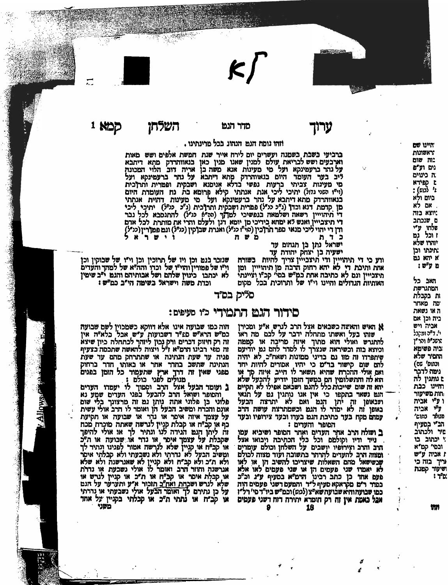

ערוך

## מדר הנט

כמא י

#### וזהו נוסח הגם הנהוג ככל סרינתינו .

ברביעי בשבת בשמנה ועשרים יום לירח אייר שנת המשת אלפים ושש מאות וארבעים ושש לבריאת עולם למנין שאנו מנין כאן בנאווהרדק מתא דיתבא על נהר ברעמינקא ועל מי מעינות אנא משה בן אריה דוב הלוי המכונה ליב בער העומר היום בנאוהרדק מתא ריתבא על נהר ברעמינקא ועל מי מעינות צביתי ברעות נפשי בדלא אנימנא ושבקית ופפרית ותרוכית (ויייו השני נדול) יתיכי ליכי אנת אנתתי קילא פרומא כת נח העומרת היום בנאווהרדק מתא דיתבא על נהר ברעטינקא ועל כי מעינות דהיית אנתתי מן קדמת דנא וכדן (ג"כ כניל) פמרית ושכקית ותרוכית (ג"כ , כניל) יתיכי , ליכי די תיהוייין רשאה ושלמאה בנפשיכי למדוך (ההיף כניל) להתנסבא לכל נבר וי וניוויין ו שאו ו שלשאן בעבר לי לעו<br>די תיצבייין ואנש לא ימחא בידיכי מן יומא דנן ולעלם והרי את מותרת לכל אדם<br>ודן די יהוי ליכי מנאי מפר תרוכין (סו"ו מילי) ואנרת שבוקין (כו"ל) וגם פמורין (כו"ל)

ישראל נתן בן תנחום עד ישעיה בן יצחק יהודה עד

ורע כי די תיהויין ודי תיצבייין צריך להיות בשורה אות ותיכת די לא יהא רחוק הרבה מן תיהוייין ומן תיצבייין ונם לא כתיבה אחת כמיש בסי׳ קכ״ו וציינתי האותיות הנדולים והיינו וי"ו של ותרוכית בכל מקום

שיתפרדו וה מוו גם בדיני ממונות ושאח"ב לא יהיה

להם שום קישור בד"ם כי יהיו אסורים להיות יחד

ואם אולי ההכרח שהיא תשאר לו חייב איוה סד או

הוא לה והתשלומין הם במשך הומן יודיע להבעל שלא

הגם נשאר בתקפו כי אין אנו נותנין גם על תנאי<br>ועבאופן זה יתן הגם ואם לא יתרצה הבעל<br>באופן זה לא יסדר לו הגם וכשמתרצה עושה הרב

עמהם מקח בער כתיבת הגם בעדו וכער צירופיו וכעד

הטופר והערים:

שנזכר בגם וכן ויו של תרוכין וכן וי"ו של שבוקין וכן וְיִשׁ של פּמוּרין והוישו של וכדו והה"א של למהד והעדים לא יכתבו \_ כינוין שלהם ושל אבותיהם והגם י"ב שימין וכדת משה וישראל בשימה הי"ב כמ"ש :

השלחו

םליק בם״ד

א האיש והאשה כשכאים אצל הרב לנרש א״ע ומכירן

# םידור הגט התמידי כי סעיפים:

שותו בעל ואשתו מתחלה ידבר על לבם מה ראו להתגרש ואולי הוא מתוך איוה מריכה או קממה וכיוצא בזה וכשיראה שנצרך לו לסדר להם גם יודיעם

הוה כמו שבועה אינו אלא דווקא כשמכוין לשם שבועה<br>כמ"ש הרא"ש ם£"ר רשבועות ע"ש אבל כלא"ה אין<br>זה רק חיזוק דברים ורק נכון ליזהר לכתחלה כיון שיצא<br>זה מפי רבינו הרמ"א ו"ל ויצוה להאשה שתכסה בצעיף פניה עד שעת הנתינה או שתתרחק מהם עד שעת הנתינה שתשב בחרר אחר או כאותו חדר ברחוק פפני שאין זה דרך ארץ שתעמוד כל הומן בפנים

והסופר ושואל הרב להבעל בפני הערים שמע נא פלוני כן פלוני אתה ניתן גם זה מרצונך בלי שום אונס והכרח ומשיב הבעל הן ואומר לו הרב אולי עשית ... אין איזה איפר או גדר או שבועה או תקיעת<br>על עצמך איזה איפר או גדר או שבועה או תקיעת<br>כף או קב"ח או קבלת קניין לגרשה שאתה מוכרת מכח שקבלת על עצמך איסר או נדר או שבועה או תיכ<br>או קביח או קניין שלא לנרשה אמור לפגינו ונתיר לך ומשיב הבעל לא נדרתי ולא נשבעתי ולא קבלתי איסר ולא תיכ ולא קביח ולא קניין לא שאגרשנה ולא שלא או קבלת אימר או קב"ח או ת"כ או קניין לגרש או שלא לגרש ושכחת ואח"ב תזכור א״ע ותעדער על הגם או קביח או נתתי ת"כ או קבלתי בקניין על אחד משני

m

יהינו שם האשונות

:וה שום

נים וע"פ ה כינוים.

**NTIED L** 

**1** לנום):

ביום ולא

. אם לא

יוצא בוה

ם שנכתב שלחו ע"י ו וכל נמ יודרו שלא

תינתו וכן

איהאנמ

האב כל

המתנרשת

ות בקבלת ימה מאחר

ה או נשאת ביה וכן אם

אכיה ויש

י'. ד"ה ומרבל המשלא והר״ו

ביה פשימא הזמיר שלא

ונתום' סס) נימה לדבר

ם נותגין לה חזיינו כבת

והות משיעור ו ע״ אביה

ע"י אביה

מנותר נתום'

הב" בסעיף

טיר ולכתוב

י יכתוב בו ונטי קמיא

ו אביה ע״ש

עיך בוה כי

שיעור קמנה

מ"ר :

ם ע"ש:

ב ושולה הרב אהר הערים ואחר המפר ושיביא עמו ב ומאוז וב המוני הנה אות המוני הרחיבה ויכואו אצל.<br>נייר ודיו וקולמם וכל כלי הכתיבה ויכואו אצל. ומצוה היב להעדים להרהר בתשובה ועוד מצוה לכולם שָׁבְשִׁישׁאל מהם השאלות שיצריכו להשיב הן או לאו לא יאמדו שני פעמים הן או שני פעמים לאו אלא<br>פעם אחד כן כתב רבינו הרמ"א בסעיף ע"ג וכ"כ<br>במדר ר"מ מקראקא סעיף ל"ד והמעם רשני פעמים הוה כמו שבועהוהיא שבועה שא"צ (לכוש) וכמ"ש ביו"ד סי' רל"ו אבל כאטת אין זה רק הוכרא יתירה רזה דשני פעמים 18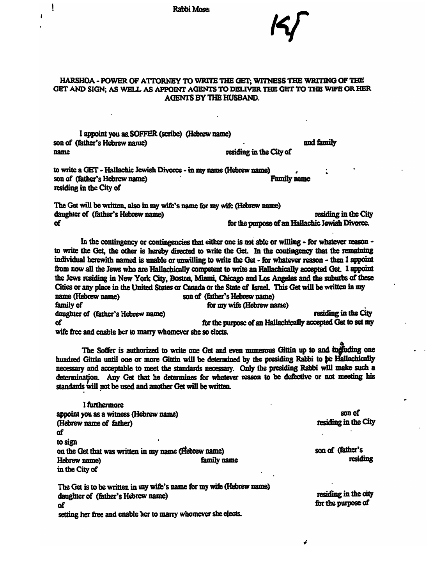**Rabbi Mose** 

### HARSHOA - POWER OF ATTORNEY TO WRITE THE GET; WITNESS THE WRITING OF THE GET AND SIGN; AS WELL AS APPOINT AGENTS TO DELIVER THE GET TO THE WIFE OR HER AGENTS BY THE HUSBAND.

I appoint you as SOFFER (scribe) (Hebrew name) son of (father's Hebrew name) name

١

and family

I wy card

residing in the City of

to write a GET - Hallachic Jewish Divorce - in my name (Hebrew name) son of (father's Hebrew name) Family name Family name residing in the City of

The Get will be written, also in my wife's name for my wife (Hebrew name) daughter of (father's Hebrew name) **residing in the City** residing in the City of for the purpose of an Hallachic Jewish Divorce.

In the contingency or contingencies that either one is not able or willing - for whatever reason to write the Get, the other is hereby directed to write the Get. In the contingency that the remaining individual herewith named is unable or unwilling to write the Get - for whatever reason - then I appoint from now all the Jews who are Hallachically competent to write an Hallachically accepted Get. I appoint the Jews residing in New York City, Boston, Miami, Chicago and Los Angeles and the suburbs of these Cities or any place in the United States or Canada or the State of Israel. This Get will be written in my name (Hebrew name) son of (father's Hebrew name) family of for my wife (Hebrew name) daughter of (father's Hebrew name) residing in the City of for the purpose of an Hallachically accepted Get to set my wife free and enable her to marry whomever she so elects.

The Soffer is authorized to write one Get and even numerous Gittin up to and individing one hundred Gittin until one or more Gittin will be determined by the presiding Rabbi to be Hallachically necessary and acceptable to meet the standards necessary. Only the presiding Rabbi will make such a necessary and acceptable to meet the standards necessary. Only the presiding Rabbi will make such a determination. Any Get that he determines for whatever reason to be defective or not meeting his standards will not be use

1 fUrthermore appoint you as a witness (Hebrew aame) (Hebrew name of father) of to sign on the Get that was written in my name (Hebrew name) Hebrew name) family name in the City of

The Get is to be written in my wife's name for my wife (Hebrew name) daughter of (father's Hebrew name) of setting her free and enable her to marry whomever she elects.

son of residing in the City

son of (father's residing

residing in the city for the purpose of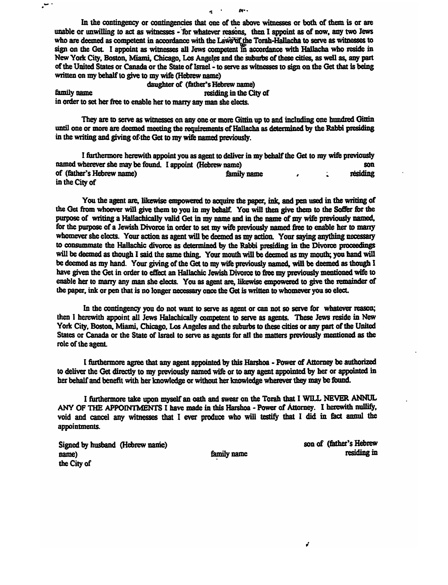In the contingency or contingencies that one of the above witnesses or both of them is or are unable or unwilling to act as witnesses - 'for whatever reasons, then I appoint as of now, any two Jews In the contingency or contingencies that one of the above witnesses or both of them is or are unable or unwilling to act as witnesses - for whatever reasons, then I appoint as of now, any two Jews who are deemed as compet who are decided as competent in accordance with the Laws of the Voral-Landscha who reside in sign on the Get. I appoint as witnesses all Jews competent in accordance with Hallacha who reside in New York City, Boston, Miami of the United States or Canada or the State of Israel- to serve as witnesses to sign on the Get that is being written on my behalf to give to my wife (Hebrew name)

**-:. ,. ..** 

daughter of (father's Hebrew name) family name residing in the City of in order to set her free to enable her to marry any man she elects.

 $\cdot$ 

They are to serve as witnesses on any one or more Gittin up to and including one hundred Gittin until one or more are deemed meeting the requirements of Hallacha as determined by the Rabbi presiding in the writing and giving of the Get to my wife named previously.

I furthermore herewith appoint you as agent to deliver in my behalf the Get to my wife previously named wherever sbe may be found. I appoint (Hebrew uame) son of (father's Hebrew name) family name and I • residing in the City of

You the agent are, likewise empowered to acquire the paper, ink, and pen used in the writing of the Get from whoever will give them to you in my behalf. You will thea give them to the Soffer fbr the purpose of writing a Hallachically valid Get in my name and in the name of my wife previously named, for the purpose of a Jewish Divorce in order to set my wife previously named free to enable her to marry whomever she elects. Your action as agent will be deemed as my action. Your saying anything necessary to consummate the Hallachic divorce as determined by the Rabbi presiding in the Divorce proceedings will be deemed as though I said the same thing. Your mouth will be deemed as my mouth; you hand will be deemed as my hand. Your giving of the Get to my wife previously named, will be deemed as though I have given the Get in order to effect an Hallachic Jewish Divorce to free my previously mentioned wife to enable her to many any man she elects. You as agent are, likewise empowered to give the remainder of the paper, ink or pen that is no longer necessary once the Get is written to whomever you so elect.

In the contingency you do not want to serve as agent or can not so serve for whatever reason; then I herewith appoint all Jews Halachically competent to serve as agents. These Jews reside in New York City, Boston, Miami, Chicago, Los Angeles and the suburbs to these cities or any part of the United States or Canada or the State of Israel to serve as agents for all the matters previously mentioned as the role of the agent.

1 furthermore agree that any agent appointed by this Harshoa - Power of AUomey be authorized to deliver the Get directly to my previously named wife or to any agent appointed by her or appointed in her behalf and benefit with her knowledge or without her knowledge wherever they may be found.

I furthermore take upon myself an oath and swear on the Torah that I WILL NEVER ANNUL ANY OF THE APPOINTMENTS I have made in this Harshoa - Power of Attorney. I herewith nullify, void and cancel any witnesses that I ever produce who will testify tbat I did in fact annul the appointments.

Signed by husband (Hebrew name) name) the City of

family name

son of (&ther's Hebrew residing in

Í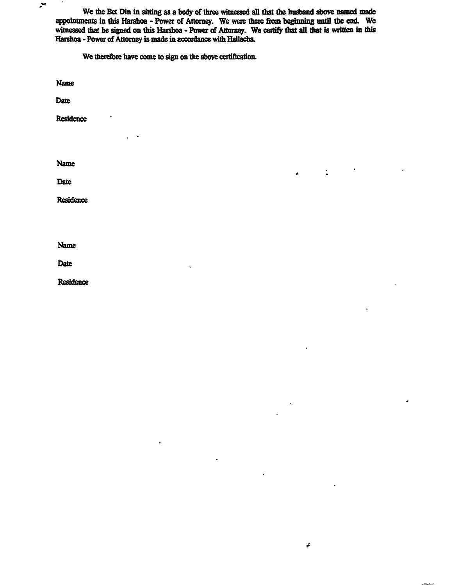We the Bet Din in sitting as a body of three witnessed all that the husband above named made appointments in this Harshoa - Power of Attorney. We were there from beginning until the end. We witnessed that he signed on this Harshoa - Power of Attorney. We certify that all that is written in this Harshoa - Power of Attorney is made in accordance with Hallacha.

I •

 $\pmb{\downarrow}$ 

We therefore have come to sign on the abcwe certification.

Name

 $\blacktriangleright$ 

Date

Residence

Name

**Date** 

Residence

Name

Date

**Residence**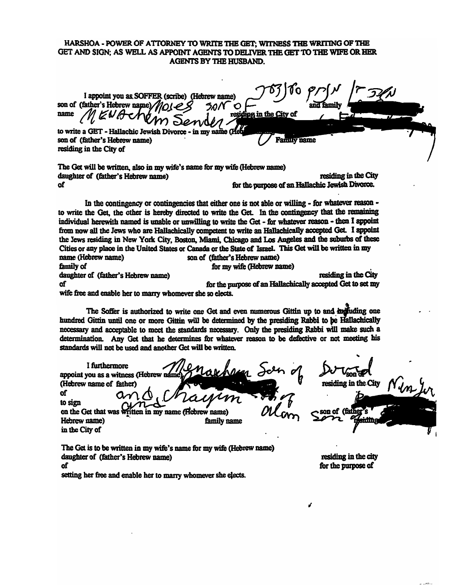### HARSHOA - POWER OF ATTORNEY TO WRITE THE GET; WITNESS THE WRITING OF THE GET AND SIGN; AS WELL AS APPOINT AGENTS TO DELIVER THE GET TO THE WIFE OR HER **AGENTS BY THE HUSBAND.**

I appoint you as SOFFER (scribe) (Hebrew name) son of (father's Hebrew name) name iding in the City of to write a GET - Hallachic Jewish Divorce **Family name** son of (father's Hebrew name) residing in the City of The Get will be written, also in my wife's name for my wife (Hebrew name) residing in the City daughter of (father's Hebrew name) for the purpose of an Hallachic Jewish Divorce. of In the contingency or contingencies that either one is not able or willing - for whatever reason to write the Get, the other is hereby directed to write the Get. In the contingency that the remaining individual herewith named is unable or unwilling to write the Get - for whatever reason - then I appoint from now all the Jews who are Hallachically competent to write an Hallachically accepted Get. I appoint the Jews residing in New York City, Boston, Miami, Chicago and Los Angeles and the suburbs of these Cities or any place in the United States or Canada or the State of Israel. This Get will be written in my name (Hebrew name) son of (father's Hebrew name) family of for my wife (Hebrew name) residing in the City daughter of (father's Hebrew name) for the purpose of an Hallachically accepted Get to set my of wife free and enable her to marry whomever she so elects. The Soffer is authorized to write one Get and even numerous Gittin up to and individing one hundred Gittin until one or more Gittin will be determined by the presiding Rabbi to be Hallachically necessary and acceptable to meet the standards necessary. Only the presiding Rabbi will make such a determination. Any Get that he determines for whatever reason to be defective or not meeting his standards will not be used and another Get will be written. I furthermore appoint you as a witness (Hebrew name residing in the City (Hebrew name of father) Ωſ to sign on of *(f*ai on the Get that was t fritten in my name (Hebrew name) Hebrew name) family name in the City of

The Get is to be written in my wife's name for my wife (Hebrew name) daughter of (father's Hebrew name) of

setting her free and enable her to marry whomever she elects.

residing in the city for the purpose of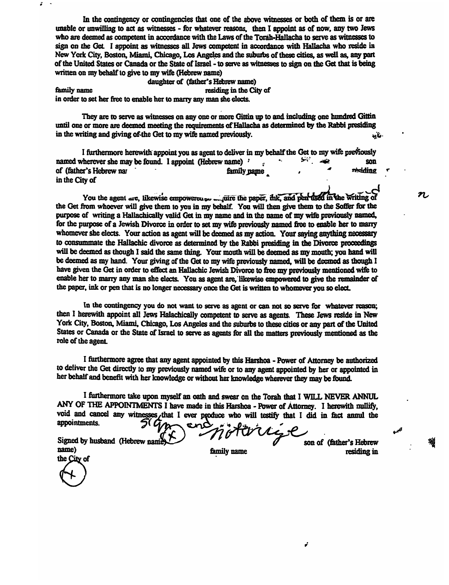In the contingency or contingencies that one of the above witnesses or both of them is or are unable or unwilling to act as witnesses - for whatever reasons, then I appoint as of now, any two Jews who are deemed as competent in accordance with the Laws of the Torah-Hallacha to serve as witnesses to sign on the Get. I appoint as witnesses all Jews competent in accordance with Hallacha who reside in New York City, Boston, Miami, Chicago, Los Angeles and the suburbs of these cities, as well as, any part of the United States or Canada or the State of Israel - to serve as witnesses to sign on the Get that is being written on my behalf to give to my wife (Hebrew name)

daughter of (father's Hebrew name) family name residing in the City of in order to set her free to enable her to marry any man she elects.

*i* <sup>~</sup>

They are to serve as witnesses on any one or more Gittin up to and including one hundred Gittin until one or more are deemed meeting the requirements of Hallacha as determined by the Rabbi presiding<br>in the writing and giving of the Get to my wife named previously in the writing and giving of the Get to my wife named previously.  $\ddot{\mathbf{v}}$ 

I furthermore herewith appoint you as agent to deliver in my behalf the Get to my wife previously named wherever she may be found. I appoint (Hebrew name): son son family paper . Son residing the fact of the July was son family paper . Son residing of (father's Hebrew nar has a family pame in the City of

You the agent  $\alpha$  et, likewise empowerence  $\alpha$  in the paper, thk, and pen used in the writing of  $\alpha$ the Get from whoever wiD giw them to you in my behalf. You will thea give them to the Soffer for the purpose of writing a Hallachically valid Get in my name and in the name of my wife previously named, for the purpose of a Jewish Divorce in order to set my wife previously named free to enable her to marry whomever she elects. Your action as agent will be deemed as my action. Your saying anything necessary to consummate the Hallachic divorce as determined by the Rabbi presiding in the Divorce proceedings will be deemed as though I said the same thing. Your mouth will be deemed as my mouth; you hand will be deemed as my hand. Your giving of the Get to my wife previously named, will be deemed as though I have given the Get in order to effect an Hallachic Jewish Divorce to free my previously mentioned wife to enable her to marry any man she elects. You as agent are, likewise empowered to give the remainder of the paper, ink or pen that is no longer necessary once the Get is written to whomever you so elect.

In the contingency you do not want to serve as agent or can not so serve for whatever reason; then I herewith appoint all Jews Halachically competent to serve as agents. These Jews reside in New York City, Boston, Miami, Chicago, Los Angeles and the suburbs to these cities or any part of the United States or Canada or the State of Israel to serve as agents for all the matters previously mentioned as the role of the agent.

I furthermore agree that any agent appointed by this Harshoa - Power of Attorney be authorized to deliver the Get directly to my previously named wife or to any agent appointed by her or appointed in her behalf and benefit with her knowledge or without her knowledge wherever they may be found.

I furthermore take upon myself an oath and swear on the Torah that I WILL NEVER ANNUL ANY OF THE APPOINTMENTS I have made in this Harshoa • Power of Attorney. I herewith nullify, void and cancel any witnesses that I ever produce who will testify that I did in fact annul the appointments.

name) family name residing in name) fam<br>the City of<br>(

Signed by husband (Hebrew namie) V / V <sup>*v*</sup> v v Son of (father's Hebrew

ŕ